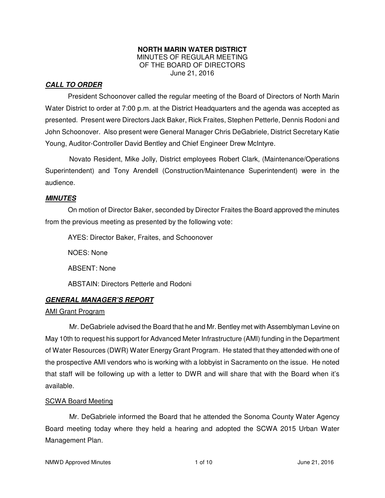#### **NORTH MARIN WATER DISTRICT**  MINUTES OF REGULAR MEETING OF THE BOARD OF DIRECTORS June 21, 2016

## **CALL TO ORDER**

President Schoonover called the regular meeting of the Board of Directors of North Marin Water District to order at 7:00 p.m. at the District Headquarters and the agenda was accepted as presented. Present were Directors Jack Baker, Rick Fraites, Stephen Petterle, Dennis Rodoni and John Schoonover. Also present were General Manager Chris DeGabriele, District Secretary Katie Young, Auditor-Controller David Bentley and Chief Engineer Drew McIntyre.

Novato Resident, Mike Jolly, District employees Robert Clark, (Maintenance/Operations Superintendent) and Tony Arendell (Construction/Maintenance Superintendent) were in the audience.

### **MINUTES**

 On motion of Director Baker, seconded by Director Fraites the Board approved the minutes from the previous meeting as presented by the following vote:

AYES: Director Baker, Fraites, and Schoonover

NOES: None

ABSENT: None

ABSTAIN: Directors Petterle and Rodoni

### **GENERAL MANAGER'S REPORT**

#### AMI Grant Program

Mr. DeGabriele advised the Board that he and Mr. Bentley met with Assemblyman Levine on May 10th to request his support for Advanced Meter Infrastructure (AMI) funding in the Department of Water Resources (DWR) Water Energy Grant Program. He stated that they attended with one of the prospective AMI vendors who is working with a lobbyist in Sacramento on the issue. He noted that staff will be following up with a letter to DWR and will share that with the Board when it's available.

#### SCWA Board Meeting

Mr. DeGabriele informed the Board that he attended the Sonoma County Water Agency Board meeting today where they held a hearing and adopted the SCWA 2015 Urban Water Management Plan.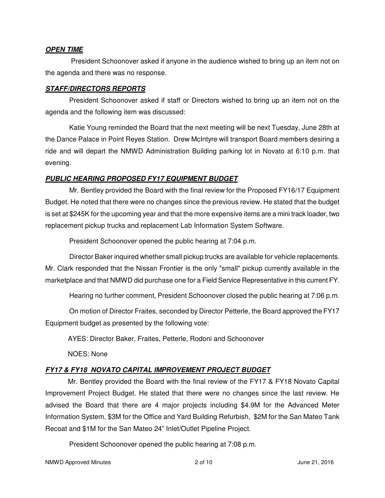### **OPEN TIME**

President Schoonover asked if anyone in the audience wished to bring up an item not on the agenda and there was no response.

#### **STAFF/DIRECTORS REPORTS**

President Schoonover asked if staff or Directors wished to bring up an item not on the agenda and the following item was discussed:

Katie Young reminded the Board that the next meeting will be next Tuesday, June 28th at the Dance Palace in Point Reyes Station. Drew McIntyre will transport Board members desiring a ride and will depart the NMWD Administration Building parking lot in Novato at 6:10 p.m. that evening.

### **PUBLIC HEARING PROPOSED FY17 EQUIPMENT BUDGET**

Mr. Bentley provided the Board with the final review for the Proposed FY16/17 Equipment Budget. He noted that there were no changes since the previous review. He stated that the budget is set at \$245K for the upcoming year and that the more expensive items are a mini track loader, two replacement pickup trucks and replacement Lab Information System Software.

President Schoonover opened the public hearing at 7:04 p.m.

Director Baker inquired whether small pickup trucks are available for vehicle replacements. Mr. Clark responded that the Nissan Frontier is the only "small" pickup currently available in the marketplace and that NMWD did purchase one for a Field Service Representative in this current FY.

Hearing no further comment, President Schoonover closed the public hearing at 7:06 p.m.

On motion of Director Fraites, seconded by Director Petterle, the Board approved the FY17 Equipment budget as presented by the following vote:

AYES: Director Baker, Fraites, Petterle, Rodoni and Schoonover

NOES: None

## **FY17 & FY18 NOVATO CAPITAL IMPROVEMENT PROJECT BUDGET**

 Mr. Bentley provided the Board with the final review of the FY17 & FY18 Novato Capital Improvement Project Budget. He stated that there were no changes since the last review. He advised the Board that there are 4 major projects including \$4.9M for the Advanced Meter Information System, \$3M for the Office and Yard Building Refurbish, \$2M for the San Mateo Tank Recoat and \$1M for the San Mateo 24" Inlet/Outlet Pipeline Project.

President Schoonover opened the public hearing at 7:08 p.m.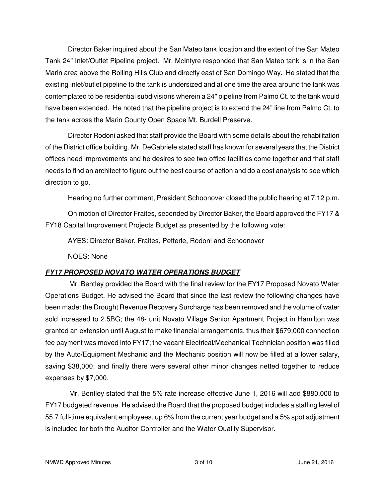Director Baker inquired about the San Mateo tank location and the extent of the San Mateo Tank 24" Inlet/Outlet Pipeline project. Mr. McIntyre responded that San Mateo tank is in the San Marin area above the Rolling Hills Club and directly east of San Domingo Way. He stated that the existing inlet/outlet pipeline to the tank is undersized and at one time the area around the tank was contemplated to be residential subdivisions wherein a 24" pipeline from Palmo Ct. to the tank would have been extended. He noted that the pipeline project is to extend the 24" line from Palmo Ct. to the tank across the Marin County Open Space Mt. Burdell Preserve.

 Director Rodoni asked that staff provide the Board with some details about the rehabilitation of the District office building. Mr. DeGabriele stated staff has known for several years that the District offices need improvements and he desires to see two office facilities come together and that staff needs to find an architect to figure out the best course of action and do a cost analysis to see which direction to go.

Hearing no further comment, President Schoonover closed the public hearing at 7:12 p.m.

 On motion of Director Fraites, seconded by Director Baker, the Board approved the FY17 & FY18 Capital Improvement Projects Budget as presented by the following vote:

AYES: Director Baker, Fraites, Petterle, Rodoni and Schoonover

NOES: None

# **FY17 PROPOSED NOVATO WATER OPERATIONS BUDGET**

Mr. Bentley provided the Board with the final review for the FY17 Proposed Novato Water Operations Budget. He advised the Board that since the last review the following changes have been made: the Drought Revenue Recovery Surcharge has been removed and the volume of water sold increased to 2.5BG; the 48- unit Novato Village Senior Apartment Project in Hamilton was granted an extension until August to make financial arrangements, thus their \$679,000 connection fee payment was moved into FY17; the vacant Electrical/Mechanical Technician position was filled by the Auto/Equipment Mechanic and the Mechanic position will now be filled at a lower salary, saving \$38,000; and finally there were several other minor changes netted together to reduce expenses by \$7,000.

Mr. Bentley stated that the 5% rate increase effective June 1, 2016 will add \$880,000 to FY17 budgeted revenue. He advised the Board that the proposed budget includes a staffing level of 55.7 full-time equivalent employees, up 6% from the current year budget and a 5% spot adjustment is included for both the Auditor-Controller and the Water Quality Supervisor.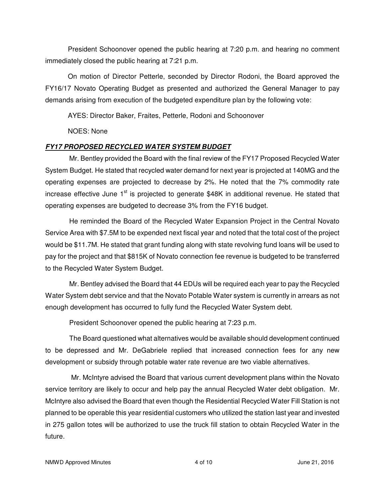President Schoonover opened the public hearing at 7:20 p.m. and hearing no comment immediately closed the public hearing at 7:21 p.m.

 On motion of Director Petterle, seconded by Director Rodoni, the Board approved the FY16/17 Novato Operating Budget as presented and authorized the General Manager to pay demands arising from execution of the budgeted expenditure plan by the following vote:

AYES: Director Baker, Fraites, Petterle, Rodoni and Schoonover

NOES: None

# **FY17 PROPOSED RECYCLED WATER SYSTEM BUDGET**

Mr. Bentley provided the Board with the final review of the FY17 Proposed Recycled Water System Budget. He stated that recycled water demand for next year is projected at 140MG and the operating expenses are projected to decrease by 2%. He noted that the 7% commodity rate increase effective June  $1<sup>st</sup>$  is projected to generate \$48K in additional revenue. He stated that operating expenses are budgeted to decrease 3% from the FY16 budget.

He reminded the Board of the Recycled Water Expansion Project in the Central Novato Service Area with \$7.5M to be expended next fiscal year and noted that the total cost of the project would be \$11.7M. He stated that grant funding along with state revolving fund loans will be used to pay for the project and that \$815K of Novato connection fee revenue is budgeted to be transferred to the Recycled Water System Budget.

Mr. Bentley advised the Board that 44 EDUs will be required each year to pay the Recycled Water System debt service and that the Novato Potable Water system is currently in arrears as not enough development has occurred to fully fund the Recycled Water System debt.

President Schoonover opened the public hearing at 7:23 p.m.

The Board questioned what alternatives would be available should development continued to be depressed and Mr. DeGabriele replied that increased connection fees for any new development or subsidy through potable water rate revenue are two viable alternatives.

 Mr. McIntyre advised the Board that various current development plans within the Novato service territory are likely to occur and help pay the annual Recycled Water debt obligation. Mr. McIntyre also advised the Board that even though the Residential Recycled Water Fill Station is not planned to be operable this year residential customers who utilized the station last year and invested in 275 gallon totes will be authorized to use the truck fill station to obtain Recycled Water in the future.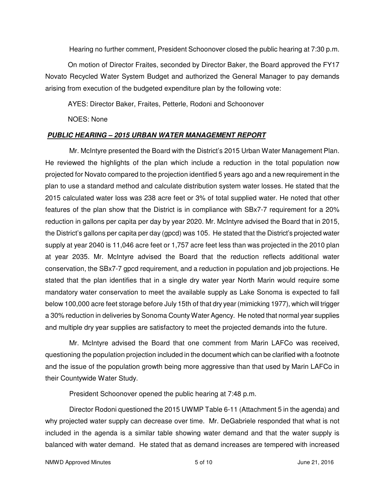Hearing no further comment, President Schoonover closed the public hearing at 7:30 p.m.

 On motion of Director Fraites, seconded by Director Baker, the Board approved the FY17 Novato Recycled Water System Budget and authorized the General Manager to pay demands arising from execution of the budgeted expenditure plan by the following vote:

AYES: Director Baker, Fraites, Petterle, Rodoni and Schoonover

NOES: None

### **PUBLIC HEARING – 2015 URBAN WATER MANAGEMENT REPORT**

Mr. McIntyre presented the Board with the District's 2015 Urban Water Management Plan. He reviewed the highlights of the plan which include a reduction in the total population now projected for Novato compared to the projection identified 5 years ago and a new requirement in the plan to use a standard method and calculate distribution system water losses. He stated that the 2015 calculated water loss was 238 acre feet or 3% of total supplied water. He noted that other features of the plan show that the District is in compliance with SBx7-7 requirement for a 20% reduction in gallons per capita per day by year 2020. Mr. McIntyre advised the Board that in 2015, the District's gallons per capita per day (gpcd) was 105. He stated that the District's projected water supply at year 2040 is 11,046 acre feet or 1,757 acre feet less than was projected in the 2010 plan at year 2035. Mr. McIntyre advised the Board that the reduction reflects additional water conservation, the SBx7-7 gpcd requirement, and a reduction in population and job projections. He stated that the plan identifies that in a single dry water year North Marin would require some mandatory water conservation to meet the available supply as Lake Sonoma is expected to fall below 100,000 acre feet storage before July 15th of that dry year (mimicking 1977), which will trigger a 30% reduction in deliveries by Sonoma County Water Agency. He noted that normal year supplies and multiple dry year supplies are satisfactory to meet the projected demands into the future.

Mr. McIntyre advised the Board that one comment from Marin LAFCo was received, questioning the population projection included in the document which can be clarified with a footnote and the issue of the population growth being more aggressive than that used by Marin LAFCo in their Countywide Water Study.

President Schoonover opened the public hearing at 7:48 p.m.

Director Rodoni questioned the 2015 UWMP Table 6-11 (Attachment 5 in the agenda) and why projected water supply can decrease over time. Mr. DeGabriele responded that what is not included in the agenda is a similar table showing water demand and that the water supply is balanced with water demand. He stated that as demand increases are tempered with increased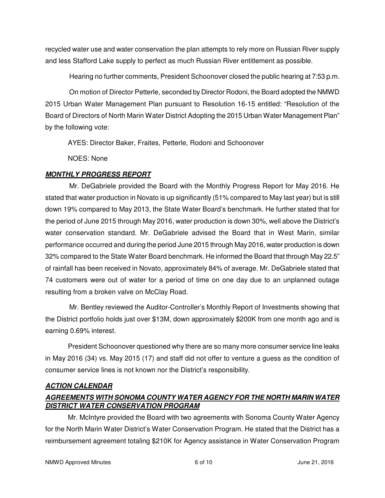recycled water use and water conservation the plan attempts to rely more on Russian River supply and less Stafford Lake supply to perfect as much Russian River entitlement as possible.

Hearing no further comments, President Schoonover closed the public hearing at 7:53 p.m.

On motion of Director Petterle, seconded by Director Rodoni, the Board adopted the NMWD 2015 Urban Water Management Plan pursuant to Resolution 16-15 entitled: "Resolution of the Board of Directors of North Marin Water District Adopting the 2015 Urban Water Management Plan" by the following vote:

AYES: Director Baker, Fraites, Petterle, Rodoni and Schoonover

NOES: None

# **MONTHLY PROGRESS REPORT**

Mr. DeGabriele provided the Board with the Monthly Progress Report for May 2016. He stated that water production in Novato is up significantly (51% compared to May last year) but is still down 19% compared to May 2013, the State Water Board's benchmark. He further stated that for the period of June 2015 through May 2016, water production is down 30%, well above the District's water conservation standard. Mr. DeGabriele advised the Board that in West Marin, similar performance occurred and during the period June 2015 through May 2016, water production is down 32% compared to the State Water Board benchmark. He informed the Board that through May 22.5" of rainfall has been received in Novato, approximately 84% of average. Mr. DeGabriele stated that 74 customers were out of water for a period of time on one day due to an unplanned outage resulting from a broken valve on McClay Road.

Mr. Bentley reviewed the Auditor-Controller's Monthly Report of Investments showing that the District portfolio holds just over \$13M, down approximately \$200K from one month ago and is earning 0.69% interest.

President Schoonover questioned why there are so many more consumer service line leaks in May 2016 (34) vs. May 2015 (17) and staff did not offer to venture a guess as the condition of consumer service lines is not known nor the District's responsibility.

## **ACTION CALENDAR**

# **AGREEMENTS WITH SONOMA COUNTY WATER AGENCY FOR THE NORTH MARIN WATER DISTRICT WATER CONSERVATION PROGRAM**

 Mr. McIntyre provided the Board with two agreements with Sonoma County Water Agency for the North Marin Water District's Water Conservation Program. He stated that the District has a reimbursement agreement totaling \$210K for Agency assistance in Water Conservation Program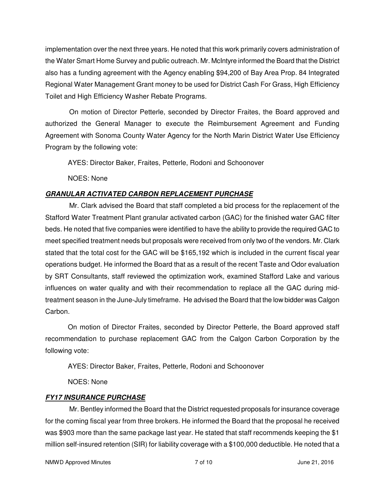implementation over the next three years. He noted that this work primarily covers administration of the Water Smart Home Survey and public outreach. Mr. McIntyre informed the Board that the District also has a funding agreement with the Agency enabling \$94,200 of Bay Area Prop. 84 Integrated Regional Water Management Grant money to be used for District Cash For Grass, High Efficiency Toilet and High Efficiency Washer Rebate Programs.

On motion of Director Petterle, seconded by Director Fraites, the Board approved and authorized the General Manager to execute the Reimbursement Agreement and Funding Agreement with Sonoma County Water Agency for the North Marin District Water Use Efficiency Program by the following vote:

AYES: Director Baker, Fraites, Petterle, Rodoni and Schoonover

NOES: None

# **GRANULAR ACTIVATED CARBON REPLACEMENT PURCHASE**

Mr. Clark advised the Board that staff completed a bid process for the replacement of the Stafford Water Treatment Plant granular activated carbon (GAC) for the finished water GAC filter beds. He noted that five companies were identified to have the ability to provide the required GAC to meet specified treatment needs but proposals were received from only two of the vendors. Mr. Clark stated that the total cost for the GAC will be \$165,192 which is included in the current fiscal year operations budget. He informed the Board that as a result of the recent Taste and Odor evaluation by SRT Consultants, staff reviewed the optimization work, examined Stafford Lake and various influences on water quality and with their recommendation to replace all the GAC during midtreatment season in the June-July timeframe. He advised the Board that the low bidder was Calgon Carbon.

 On motion of Director Fraites, seconded by Director Petterle, the Board approved staff recommendation to purchase replacement GAC from the Calgon Carbon Corporation by the following vote:

AYES: Director Baker, Fraites, Petterle, Rodoni and Schoonover

NOES: None

# **FY17 INSURANCE PURCHASE**

Mr. Bentley informed the Board that the District requested proposals for insurance coverage for the coming fiscal year from three brokers. He informed the Board that the proposal he received was \$903 more than the same package last year. He stated that staff recommends keeping the \$1 million self-insured retention (SIR) for liability coverage with a \$100,000 deductible. He noted that a

NMWD Approved Minutes and the control of 10 and 10 June 21, 2016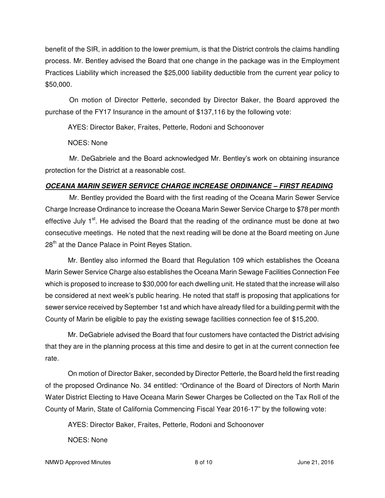benefit of the SIR, in addition to the lower premium, is that the District controls the claims handling process. Mr. Bentley advised the Board that one change in the package was in the Employment Practices Liability which increased the \$25,000 liability deductible from the current year policy to \$50,000.

On motion of Director Petterle, seconded by Director Baker, the Board approved the purchase of the FY17 Insurance in the amount of \$137,116 by the following vote:

AYES: Director Baker, Fraites, Petterle, Rodoni and Schoonover

NOES: None

Mr. DeGabriele and the Board acknowledged Mr. Bentley's work on obtaining insurance protection for the District at a reasonable cost.

## **OCEANA MARIN SEWER SERVICE CHARGE INCREASE ORDINANCE – FIRST READING**

Mr. Bentley provided the Board with the first reading of the Oceana Marin Sewer Service Charge Increase Ordinance to increase the Oceana Marin Sewer Service Charge to \$78 per month effective July 1<sup>st</sup>. He advised the Board that the reading of the ordinance must be done at two consecutive meetings. He noted that the next reading will be done at the Board meeting on June 28<sup>th</sup> at the Dance Palace in Point Reyes Station.

 Mr. Bentley also informed the Board that Regulation 109 which establishes the Oceana Marin Sewer Service Charge also establishes the Oceana Marin Sewage Facilities Connection Fee which is proposed to increase to \$30,000 for each dwelling unit. He stated that the increase will also be considered at next week's public hearing. He noted that staff is proposing that applications for sewer service received by September 1st and which have already filed for a building permit with the County of Marin be eligible to pay the existing sewage facilities connection fee of \$15,200.

 Mr. DeGabriele advised the Board that four customers have contacted the District advising that they are in the planning process at this time and desire to get in at the current connection fee rate.

 On motion of Director Baker, seconded by Director Petterle, the Board held the first reading of the proposed Ordinance No. 34 entitled: "Ordinance of the Board of Directors of North Marin Water District Electing to Have Oceana Marin Sewer Charges be Collected on the Tax Roll of the County of Marin, State of California Commencing Fiscal Year 2016-17" by the following vote:

AYES: Director Baker, Fraites, Petterle, Rodoni and Schoonover

NOES: None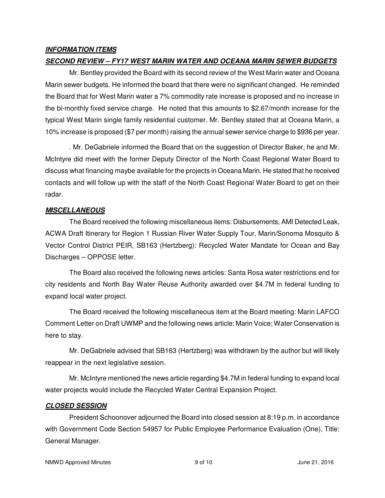## **INFORMATION ITEMS**

## **SECOND REVIEW – FY17 WEST MARIN WATER AND OCEANA MARIN SEWER BUDGETS**

Mr. Bentley provided the Board with its second review of the West Marin water and Oceana Marin sewer budgets. He informed the board that there were no significant changed. He reminded the Board that for West Marin water a 7% commodity rate increase is proposed and no increase in the bi-monthly fixed service charge. He noted that this amounts to \$2.67/month increase for the typical West Marin single family residential customer. Mr. Bentley stated that at Oceana Marin, a 10% increase is proposed (\$7 per month) raising the annual sewer service charge to \$936 per year.

. Mr. DeGabriele informed the Board that on the suggestion of Director Baker, he and Mr. McIntyre did meet with the former Deputy Director of the North Coast Regional Water Board to discuss what financing maybe available for the projects in Oceana Marin. He stated that he received contacts and will follow up with the staff of the North Coast Regional Water Board to get on their radar.

### **MISCELLANEOUS**

The Board received the following miscellaneous items: Disbursements, AMI Detected Leak, ACWA Draft Itinerary for Region 1 Russian River Water Supply Tour, Marin/Sonoma Mosquito & Vector Control District PEIR, SB163 (Hertzberg): Recycled Water Mandate for Ocean and Bay Discharges – OPPOSE letter.

The Board also received the following news articles: Santa Rosa water restrictions end for city residents and North Bay Water Reuse Authority awarded over \$4.7M in federal funding to expand local water project.

The Board received the following miscellaneous item at the Board meeting: Marin LAFCO Comment Letter on Draft UWMP and the following news article: Marin Voice; Water Conservation is here to stay.

Mr. DeGabriele advised that SB163 (Hertzberg) was withdrawn by the author but will likely reappear in the next legislative session.

Mr. McIntyre mentioned the news article regarding \$4.7M in federal funding to expand local water projects would include the Recycled Water Central Expansion Project.

### **CLOSED SESSION**

President Schoonover adjourned the Board into closed session at 8:19 p.m. in accordance with Government Code Section 54957 for Public Employee Performance Evaluation (One), Title: General Manager.